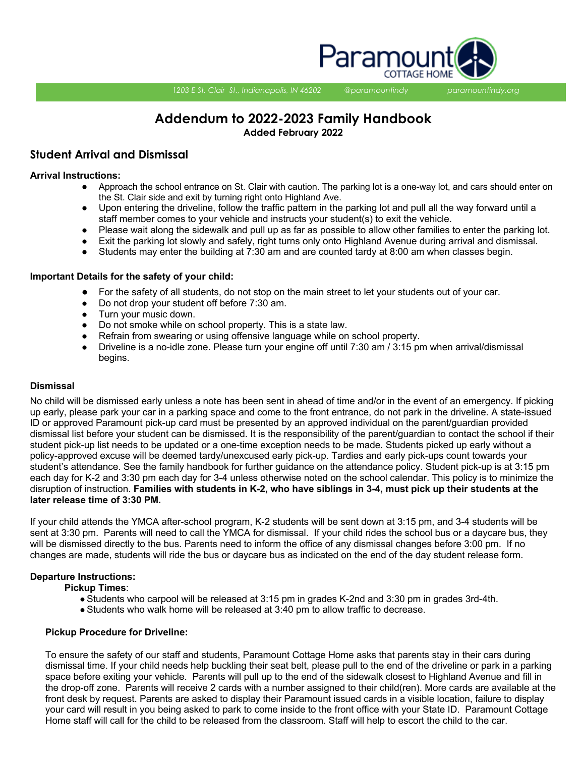

*1203 E St. Clair St., Indianapolis, IN 46202 @paramountindy paramountindy.org*

# **Addendum to 2022-2023 Family Handbook**

**Added February 2022**

## **Student Arrival and Dismissal**

#### **Arrival Instructions:**

- Approach the school entrance on St. Clair with caution. The parking lot is a one-way lot, and cars should enter on the St. Clair side and exit by turning right onto Highland Ave.
- Upon entering the driveline, follow the traffic pattern in the parking lot and pull all the way forward until a staff member comes to your vehicle and instructs your student(s) to exit the vehicle.
- Please wait along the sidewalk and pull up as far as possible to allow other families to enter the parking lot.
- Exit the parking lot slowly and safely, right turns only onto Highland Avenue during arrival and dismissal.
- Students may enter the building at 7:30 am and are counted tardy at 8:00 am when classes begin.

#### **Important Details for the safety of your child:**

- For the safety of all students, do not stop on the main street to let your students out of your car.
- Do not drop your student off before 7:30 am.
- Turn your music down.
- Do not smoke while on school property. This is a state law.
- Refrain from swearing or using offensive language while on school property.
- Driveline is a no-idle zone. Please turn your engine off until 7:30 am / 3:15 pm when arrival/dismissal begins.

#### **Dismissal**

No child will be dismissed early unless a note has been sent in ahead of time and/or in the event of an emergency. If picking up early, please park your car in a parking space and come to the front entrance, do not park in the driveline. A state-issued ID or approved Paramount pick-up card must be presented by an approved individual on the parent/guardian provided dismissal list before your student can be dismissed. It is the responsibility of the parent/guardian to contact the school if their student pick-up list needs to be updated or a one-time exception needs to be made. Students picked up early without a policy-approved excuse will be deemed tardy/unexcused early pick-up. Tardies and early pick-ups count towards your student's attendance. See the family handbook for further guidance on the attendance policy. Student pick-up is at 3:15 pm each day for K-2 and 3:30 pm each day for 3-4 unless otherwise noted on the school calendar. This policy is to minimize the disruption of instruction. **Families with students in K-2, who have siblings in 3-4, must pick up their students at the later release time of 3:30 PM.**

If your child attends the YMCA after-school program, K-2 students will be sent down at 3:15 pm, and 3-4 students will be sent at 3:30 pm. Parents will need to call the YMCA for dismissal. If your child rides the school bus or a daycare bus, they will be dismissed directly to the bus. Parents need to inform the office of any dismissal changes before 3:00 pm. If no changes are made, students will ride the bus or daycare bus as indicated on the end of the day student release form.

#### **Departure Instructions:**

**Pickup Times**:

- Students who carpool will be released at 3:15 pm in grades K-2nd and 3:30 pm in grades 3rd-4th.
- Students who walk home will be released at 3:40 pm to allow traffic to decrease.

#### **Pickup Procedure for Driveline:**

To ensure the safety of our staff and students, Paramount Cottage Home asks that parents stay in their cars during dismissal time. If your child needs help buckling their seat belt, please pull to the end of the driveline or park in a parking space before exiting your vehicle. Parents will pull up to the end of the sidewalk closest to Highland Avenue and fill in the drop-off zone. Parents will receive 2 cards with a number assigned to their child(ren). More cards are available at the front desk by request. Parents are asked to display their Paramount issued cards in a visible location, failure to display your card will result in you being asked to park to come inside to the front office with your State ID. Paramount Cottage Home staff will call for the child to be released from the classroom. Staff will help to escort the child to the car.